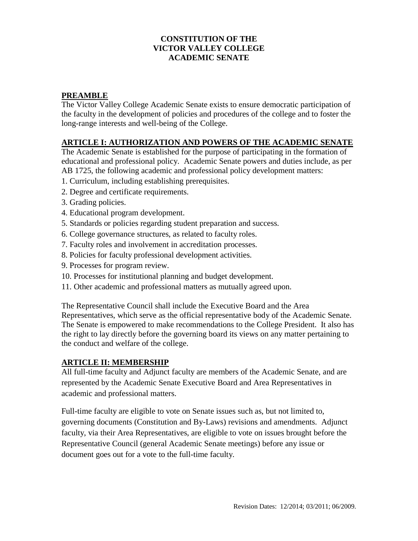# **CONSTITUTION OF THE VICTOR VALLEY COLLEGE ACADEMIC SENATE**

# **PREAMBLE**

The Victor Valley College Academic Senate exists to ensure democratic participation of the faculty in the development of policies and procedures of the college and to foster the long-range interests and well-being of the College.

# **ARTICLE I: AUTHORIZATION AND POWERS OF THE ACADEMIC SENATE**

The Academic Senate is established for the purpose of participating in the formation of educational and professional policy. Academic Senate powers and duties include, as per AB 1725, the following academic and professional policy development matters:

- 1. Curriculum, including establishing prerequisites.
- 2. Degree and certificate requirements.
- 3. Grading policies.
- 4. Educational program development.
- 5. Standards or policies regarding student preparation and success.
- 6. College governance structures, as related to faculty roles.
- 7. Faculty roles and involvement in accreditation processes.
- 8. Policies for faculty professional development activities.
- 9. Processes for program review.
- 10. Processes for institutional planning and budget development.
- 11. Other academic and professional matters as mutually agreed upon.

The Representative Council shall include the Executive Board and the Area Representatives, which serve as the official representative body of the Academic Senate. The Senate is empowered to make recommendations to the College President. It also has the right to lay directly before the governing board its views on any matter pertaining to the conduct and welfare of the college.

# **ARTICLE II: MEMBERSHIP**

All full-time faculty and Adjunct faculty are members of the Academic Senate, and are represented by the Academic Senate Executive Board and Area Representatives in academic and professional matters.

Full-time faculty are eligible to vote on Senate issues such as, but not limited to, governing documents (Constitution and By-Laws) revisions and amendments. Adjunct faculty, via their Area Representatives, are eligible to vote on issues brought before the Representative Council (general Academic Senate meetings) before any issue or document goes out for a vote to the full-time faculty.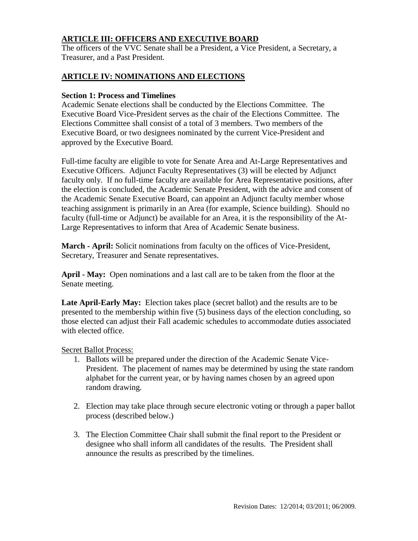# **ARTICLE III: OFFICERS AND EXECUTIVE BOARD**

 The officers of the VVC Senate shall be a President, a Vice President, a Secretary, a Treasurer, and a Past President.

### **ARTICLE IV: NOMINATIONS AND ELECTIONS**

#### **Section 1: Process and Timelines**

Academic Senate elections shall be conducted by the Elections Committee. The Executive Board Vice-President serves as the chair of the Elections Committee. The Elections Committee shall consist of a total of 3 members. Two members of the Executive Board, or two designees nominated by the current Vice-President and approved by the Executive Board.

Full-time faculty are eligible to vote for Senate Area and At-Large Representatives and Executive Officers. Adjunct Faculty Representatives (3) will be elected by Adjunct faculty only. If no full-time faculty are available for Area Representative positions, after the election is concluded, the Academic Senate President, with the advice and consent of the Academic Senate Executive Board, can appoint an Adjunct faculty member whose teaching assignment is primarily in an Area (for example, Science building). Should no faculty (full-time or Adjunct) be available for an Area, it is the responsibility of the At-Large Representatives to inform that Area of Academic Senate business.

**March - April:** Solicit nominations from faculty on the offices of Vice-President, Secretary, Treasurer and Senate representatives.

**April - May:** Open nominations and a last call are to be taken from the floor at the Senate meeting.

**Late April-Early May:** Election takes place (secret ballot) and the results are to be presented to the membership within five (5) business days of the election concluding, so those elected can adjust their Fall academic schedules to accommodate duties associated with elected office.

#### Secret Ballot Process:

- 1. Ballots will be prepared under the direction of the Academic Senate Vice-President. The placement of names may be determined by using the state random alphabet for the current year, or by having names chosen by an agreed upon random drawing.
- 2. Election may take place through secure electronic voting or through a paper ballot process (described below.)
- 3. The Election Committee Chair shall submit the final report to the President or designee who shall inform all candidates of the results. The President shall announce the results as prescribed by the timelines.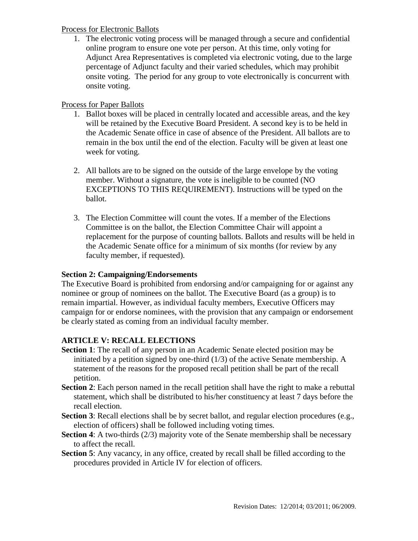### Process for Electronic Ballots

1. The electronic voting process will be managed through a secure and confidential online program to ensure one vote per person. At this time, only voting for Adjunct Area Representatives is completed via electronic voting, due to the large percentage of Adjunct faculty and their varied schedules, which may prohibit onsite voting. The period for any group to vote electronically is concurrent with onsite voting.

# Process for Paper Ballots

- 1. Ballot boxes will be placed in centrally located and accessible areas, and the key will be retained by the Executive Board President. A second key is to be held in the Academic Senate office in case of absence of the President. All ballots are to remain in the box until the end of the election. Faculty will be given at least one week for voting.
- 2. All ballots are to be signed on the outside of the large envelope by the voting member. Without a signature, the vote is ineligible to be counted (NO EXCEPTIONS TO THIS REQUIREMENT). Instructions will be typed on the ballot.
- 3. The Election Committee will count the votes. If a member of the Elections Committee is on the ballot, the Election Committee Chair will appoint a replacement for the purpose of counting ballots. Ballots and results will be held in the Academic Senate office for a minimum of six months (for review by any faculty member, if requested).

# **Section 2: Campaigning/Endorsements**

The Executive Board is prohibited from endorsing and/or campaigning for or against any nominee or group of nominees on the ballot. The Executive Board (as a group) is to remain impartial. However, as individual faculty members, Executive Officers may campaign for or endorse nominees, with the provision that any campaign or endorsement be clearly stated as coming from an individual faculty member.

# **ARTICLE V: RECALL ELECTIONS**

- **Section 1**: The recall of any person in an Academic Senate elected position may be initiated by a petition signed by one-third (1/3) of the active Senate membership. A statement of the reasons for the proposed recall petition shall be part of the recall petition.
- **Section 2**: Each person named in the recall petition shall have the right to make a rebuttal statement, which shall be distributed to his/her constituency at least 7 days before the recall election.
- **Section 3**: Recall elections shall be by secret ballot, and regular election procedures (e.g., election of officers) shall be followed including voting times.
- **Section 4**: A two-thirds (2/3) majority vote of the Senate membership shall be necessary to affect the recall.
- **Section 5**: Any vacancy, in any office, created by recall shall be filled according to the procedures provided in Article IV for election of officers.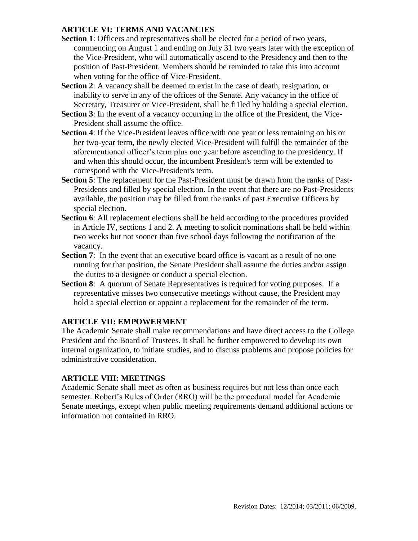# **ARTICLE VI: TERMS AND VACANCIES**

- **Section 1**: Officers and representatives shall be elected for a period of two years, commencing on August 1 and ending on July 31 two years later with the exception of the Vice-President, who will automatically ascend to the Presidency and then to the position of Past-President. Members should be reminded to take this into account when voting for the office of Vice-President.
- **Section 2**: A vacancy shall be deemed to exist in the case of death, resignation, or inability to serve in any of the offices of the Senate. Any vacancy in the office of Secretary, Treasurer or Vice-President, shall be fi1led by holding a special election.
- **Section 3**: In the event of a vacancy occurring in the office of the President, the Vice-President shall assume the office.
- **Section 4**: If the Vice-President leaves office with one year or less remaining on his or her two-year term, the newly elected Vice-President will fulfill the remainder of the aforementioned officer's term plus one year before ascending to the presidency. If and when this should occur, the incumbent President's term will be extended to correspond with the Vice-President's term.
- **Section 5**: The replacement for the Past-President must be drawn from the ranks of Past-Presidents and filled by special election. In the event that there are no Past-Presidents available, the position may be filled from the ranks of past Executive Officers by special election.
- **Section 6**: All replacement elections shall be held according to the procedures provided in Article IV, sections 1 and 2. A meeting to solicit nominations shall be held within two weeks but not sooner than five school days following the notification of the vacancy.
- **Section 7:** In the event that an executive board office is vacant as a result of no one running for that position, the Senate President shall assume the duties and/or assign the duties to a designee or conduct a special election.
- **Section 8:** A quorum of Senate Representatives is required for voting purposes. If a representative misses two consecutive meetings without cause, the President may hold a special election or appoint a replacement for the remainder of the term.

# **ARTICLE VII: EMPOWERMENT**

The Academic Senate shall make recommendations and have direct access to the College President and the Board of Trustees. It shall be further empowered to develop its own internal organization, to initiate studies, and to discuss problems and propose policies for administrative consideration.

# **ARTICLE VIII: MEETINGS**

Academic Senate shall meet as often as business requires but not less than once each semester. Robert's Rules of Order (RRO) will be the procedural model for Academic Senate meetings, except when public meeting requirements demand additional actions or information not contained in RRO.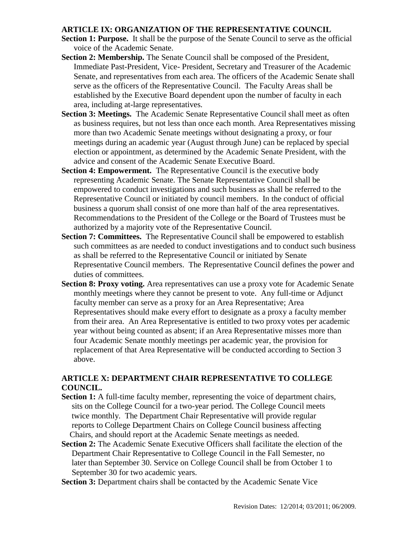# **ARTICLE IX: ORGANIZATION OF THE REPRESENTATIVE COUNCIL**

- **Section 1: Purpose.** It shall be the purpose of the Senate Council to serve as the official voice of the Academic Senate.
- **Section 2: Membership.** The Senate Council shall be composed of the President, Immediate Past-President, Vice- President, Secretary and Treasurer of the Academic Senate, and representatives from each area. The officers of the Academic Senate shall serve as the officers of the Representative Council. The Faculty Areas shall be established by the Executive Board dependent upon the number of faculty in each area, including at-large representatives.
- **Section 3: Meetings.** The Academic Senate Representative Council shall meet as often as business requires, but not less than once each month. Area Representatives missing more than two Academic Senate meetings without designating a proxy, or four meetings during an academic year (August through June) can be replaced by special election or appointment, as determined by the Academic Senate President, with the advice and consent of the Academic Senate Executive Board.
- **Section 4: Empowerment.** The Representative Council is the executive body representing Academic Senate. The Senate Representative Council shall be empowered to conduct investigations and such business as shall be referred to the Representative Council or initiated by council members. In the conduct of official business a quorum shall consist of one more than half of the area representatives. Recommendations to the President of the College or the Board of Trustees must be authorized by a majority vote of the Representative Council.
- **Section 7: Committees.** The Representative Council shall be empowered to establish such committees as are needed to conduct investigations and to conduct such business as shall be referred to the Representative Council or initiated by Senate Representative Council members. The Representative Council defines the power and duties of committees.
- **Section 8: Proxy voting.** Area representatives can use a proxy vote for Academic Senate monthly meetings where they cannot be present to vote. Any full-time or Adjunct faculty member can serve as a proxy for an Area Representative; Area Representatives should make every effort to designate as a proxy a faculty member from their area. An Area Representative is entitled to two proxy votes per academic year without being counted as absent; if an Area Representative misses more than four Academic Senate monthly meetings per academic year, the provision for replacement of that Area Representative will be conducted according to Section 3 above.

# **ARTICLE X: DEPARTMENT CHAIR REPRESENTATIVE TO COLLEGE COUNCIL.**

- **Section 1:** A full-time faculty member, representing the voice of department chairs, sits on the College Council for a two-year period. The College Council meets twice monthly. The Department Chair Representative will provide regular reports to College Department Chairs on College Council business affecting Chairs, and should report at the Academic Senate meetings as needed.
- **Section 2:** The Academic Senate Executive Officers shall facilitate the election of the Department Chair Representative to College Council in the Fall Semester, no later than September 30. Service on College Council shall be from October 1 to September 30 for two academic years.
- **Section 3:** Department chairs shall be contacted by the Academic Senate Vice